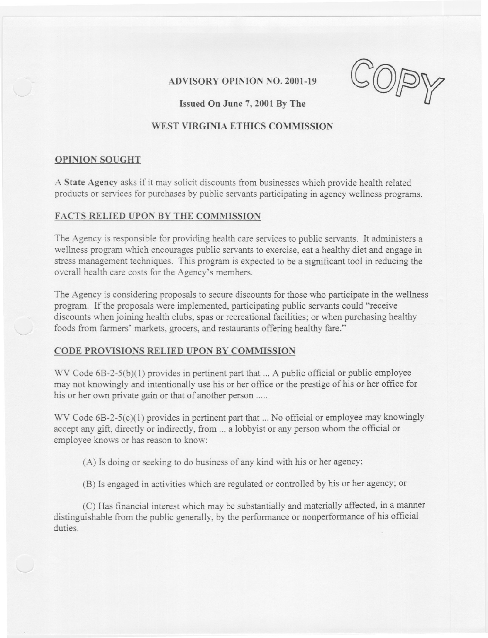$\alpha$  -a  $\sim$  -  $\sim$   $\infty$  -mapping and  $\sim$   $\alpha$ 

ADVISORY OPINION NO. 2001-19

# WEST VIRGINIA ETHICS COMMISSION

## OPINION SOUGHT

A State Agency asks if it may solicit discounts from businesses which provide health related products or services for purchases by public servants participating in agency wellness programs.

## FACTS RELIED UPON BY THE COMMISSION

The Agency is responsible for providing health care services to public servants. It administers a wellness program which encourages public servants to exercise, eat a healthy diet and engage in stress management techniques. This program is expected to be a significant tool in reducing the overall health care costs for the Agency's members.

The Agency is considering proposals to secure discounts for those who participate in the wellness program. If the proposals were implemented, participating public servants could "receive discounts when joining health clubs, spas or recreational facilities; or when purchasing healthy foods from farmers' markets, grocers, and restaurants offering healthy fare."

### CODE PROVISIONS RELIED UPON BY COMMISSION

WV Code  $6B-2-5(b)(1)$  provides in pertinent part that ... A public official or public employee may not knowingly and intentionally use his or her office or the prestige of his or her office for his or her own private gain or that of another person .....

WV Code 6B-2-5(c)(1) provides in pertinent part that ... No official or employee may knowingly accept any gift, directly or indirectly, from ... a lobbyist or any person whom the official or employee knows or has reason to know:

(A) Is doing or seeking to do business of any kind with his or her agency;

(B) Is engaged in activities which are regulated or controlled by his or her agency; or

(C) Has financial interest which may be substantially and materially affected, in a manner distinguishable from the public generally, by the performance or nonperformance of his official duties.